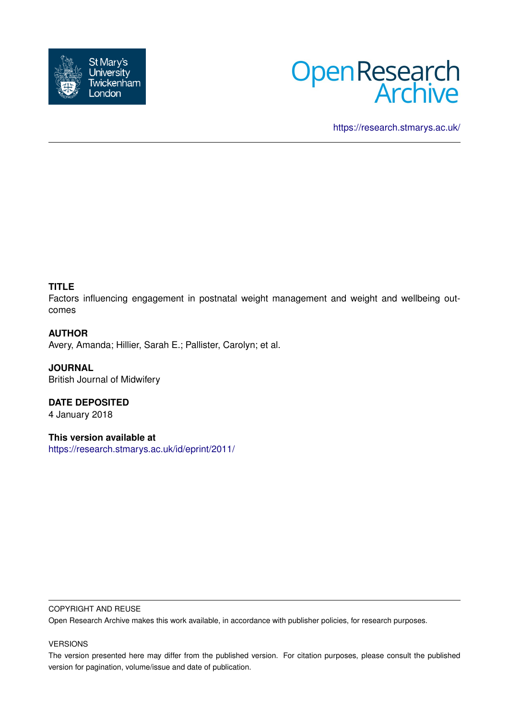



<https://research.stmarys.ac.uk/>

# **TITLE**

Factors influencing engagement in postnatal weight management and weight and wellbeing outcomes

# **AUTHOR**

Avery, Amanda; Hillier, Sarah E.; Pallister, Carolyn; et al.

**JOURNAL** British Journal of Midwifery

**DATE DEPOSITED** 4 January 2018

**This version available at** <https://research.stmarys.ac.uk/id/eprint/2011/>

### COPYRIGHT AND REUSE

Open Research Archive makes this work available, in accordance with publisher policies, for research purposes.

## VERSIONS

The version presented here may differ from the published version. For citation purposes, please consult the published version for pagination, volume/issue and date of publication.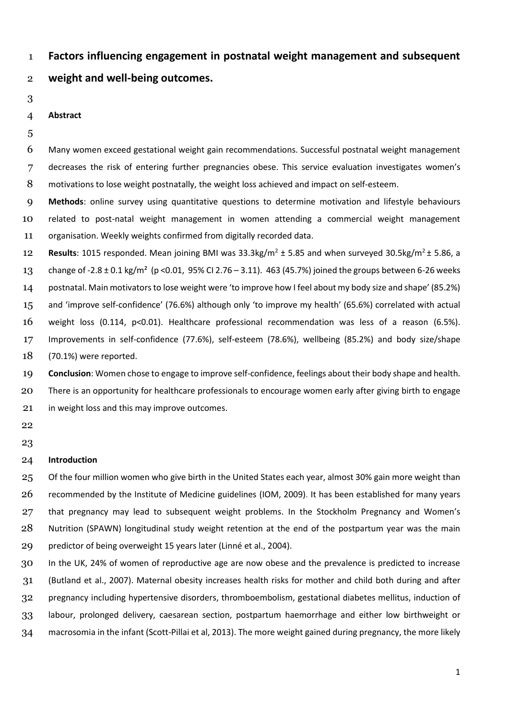**Factors influencing engagement in postnatal weight management and subsequent** 

- **weight and well-being outcomes.**
- 

### **Abstract**

 Many women exceed gestational weight gain recommendations. Successful postnatal weight management decreases the risk of entering further pregnancies obese. This service evaluation investigates women's 8 motivations to lose weight postnatally, the weight loss achieved and impact on self-esteem.

 **Methods**: online survey using quantitative questions to determine motivation and lifestyle behaviours related to post-natal weight management in women attending a commercial weight management organisation. Weekly weights confirmed from digitally recorded data.

**Results**: 1015 responded. Mean joining BMI was  $33.3$ kg/m<sup>2</sup>  $\pm$  5.85 and when surveyed  $30.5$ kg/m<sup>2</sup>  $\pm$  5.86, a change of -2.8 ± 0.1 kg/m² (p <0.01, 95% CI 2.76 – 3.11). 463 (45.7%) joined the groups between 6-26 weeks postnatal. Main motivators to lose weight were 'to improve how I feel about my body size and shape' (85.2%) and 'improve self-confidence' (76.6%) although only 'to improve my health' (65.6%) correlated with actual weight loss (0.114, p<0.01). Healthcare professional recommendation was less of a reason (6.5%). Improvements in self-confidence (77.6%), self-esteem (78.6%), wellbeing (85.2%) and body size/shape (70.1%) were reported.

 **Conclusion**: Women chose to engage to improve self-confidence, feelings about their body shape and health. There is an opportunity for healthcare professionals to encourage women early after giving birth to engage 21 in weight loss and this may improve outcomes.

 

### **Introduction**

 Of the four million women who give birth in the United States each year, almost 30% gain more weight than recommended by the Institute of Medicine guidelines (IOM, 2009). It has been established for many years that pregnancy may lead to subsequent weight problems. In the Stockholm Pregnancy and Women's Nutrition (SPAWN) longitudinal study weight retention at the end of the postpartum year was the main predictor of being overweight 15 years later (Linné et al., 2004).

 In the UK, 24% of women of reproductive age are now obese and the prevalence is predicted to increase (Butland et al., 2007). Maternal obesity increases health risks for mother and child both during and after pregnancy including hypertensive disorders, thromboembolism, gestational diabetes mellitus, induction of labour, prolonged delivery, caesarean section, postpartum haemorrhage and either low birthweight or macrosomia in the infant (Scott-Pillai et al, 2013). The more weight gained during pregnancy, the more likely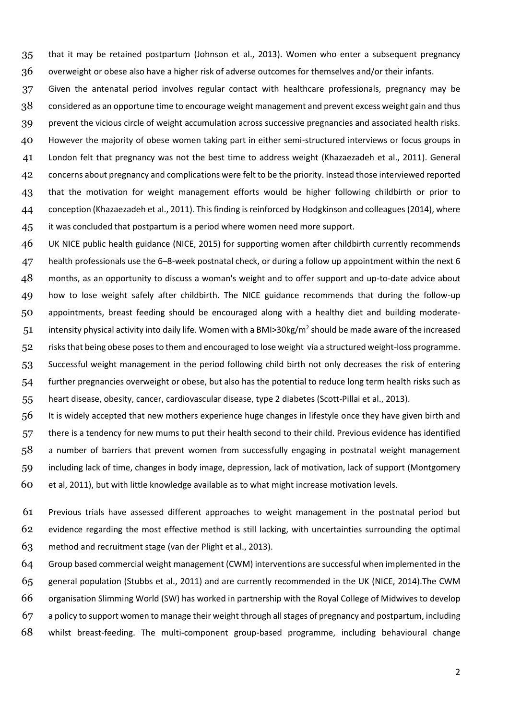that it may be retained postpartum (Johnson et al., 2013). Women who enter a subsequent pregnancy overweight or obese also have a higher risk of adverse outcomes for themselves and/or their infants.

 Given the antenatal period involves regular contact with healthcare professionals, pregnancy may be 38 considered as an opportune time to encourage weight management and prevent excess weight gain and thus prevent the vicious circle of weight accumulation across successive pregnancies and associated health risks. However the majority of obese women taking part in either semi-structured interviews or focus groups in London felt that pregnancy was not the best time to address weight (Khazaezadeh et al., 2011). General concerns about pregnancy and complications were felt to be the priority. Instead those interviewed reported that the motivation for weight management efforts would be higher following childbirth or prior to conception (Khazaezadeh et al., 2011). This finding is reinforced by Hodgkinson and colleagues (2014), where 45 it was concluded that postpartum is a period where women need more support.

 UK NICE public health guidance (NICE, 2015) for supporting women after childbirth currently recommends health professionals use the 6–8-week postnatal check, or during a follow up appointment within the next 6 48 months, as an opportunity to discuss a woman's weight and to offer support and up-to-date advice about how to lose weight safely after childbirth. The NICE guidance recommends that during the follow-up appointments, breast feeding should be encouraged along with a healthy diet and building moderate-51 intensity physical activity into daily life. Women with a BMI>30kg/m<sup>2</sup> should be made aware of the increased risks that being obese poses to them and encouraged to lose weight via a structured weight-loss programme. Successful weight management in the period following child birth not only decreases the risk of entering further pregnancies overweight or obese, but also has the potential to reduce long term health risks such as heart disease, obesity, cancer, cardiovascular disease, type 2 diabetes (Scott-Pillai et al., 2013).

 It is widely accepted that new mothers experience huge changes in lifestyle once they have given birth and there is a tendency for new mums to put their health second to their child. Previous evidence has identified a number of barriers that prevent women from successfully engaging in postnatal weight management including lack of time, changes in body image, depression, lack of motivation, lack of support (Montgomery et al, 2011), but with little knowledge available as to what might increase motivation levels.

 Previous trials have assessed different approaches to weight management in the postnatal period but evidence regarding the most effective method is still lacking, with uncertainties surrounding the optimal method and recruitment stage (van der Plight et al., 2013).

 Group based commercial weight management (CWM) interventions are successful when implemented in the general population (Stubbs et al., 2011) and are currently recommended in the UK (NICE, 2014).The CWM organisation Slimming World (SW) has worked in partnership with the Royal College of Midwives to develop a policy to support women to manage their weight through all stages of pregnancy and postpartum, including whilst breast-feeding. The multi-component group-based programme, including behavioural change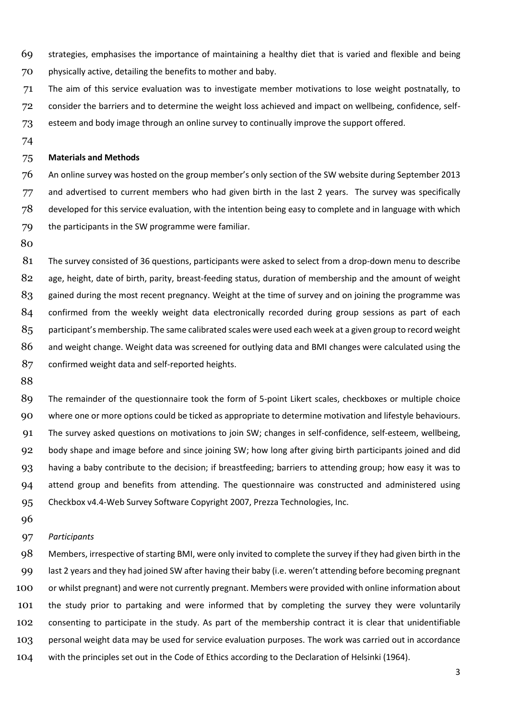- strategies, emphasises the importance of maintaining a healthy diet that is varied and flexible and being physically active, detailing the benefits to mother and baby.
- The aim of this service evaluation was to investigate member motivations to lose weight postnatally, to
- consider the barriers and to determine the weight loss achieved and impact on wellbeing, confidence, self-
- esteem and body image through an online survey to continually improve the support offered.
- 

### **Materials and Methods**

 An online survey was hosted on the group member's only section of the SW website during September 2013 77 and advertised to current members who had given birth in the last 2 years. The survey was specifically developed for this service evaluation, with the intention being easy to complete and in language with which the participants in the SW programme were familiar.

 The survey consisted of 36 questions, participants were asked to select from a drop-down menu to describe age, height, date of birth, parity, breast-feeding status, duration of membership and the amount of weight gained during the most recent pregnancy. Weight at the time of survey and on joining the programme was confirmed from the weekly weight data electronically recorded during group sessions as part of each 85 participant's membership. The same calibrated scales were used each week at a given group to record weight 86 and weight change. Weight data was screened for outlying data and BMI changes were calculated using the confirmed weight data and self-reported heights.

89 The remainder of the questionnaire took the form of 5-point Likert scales, checkboxes or multiple choice where one or more options could be ticked as appropriate to determine motivation and lifestyle behaviours. The survey asked questions on motivations to join SW; changes in self-confidence, self-esteem, wellbeing, body shape and image before and since joining SW; how long after giving birth participants joined and did having a baby contribute to the decision; if breastfeeding; barriers to attending group; how easy it was to attend group and benefits from attending. The questionnaire was constructed and administered using Checkbox v4.4-Web Survey Software Copyright 2007, Prezza Technologies, Inc.

## *Participants*

 Members, irrespective of starting BMI, were only invited to complete the survey if they had given birth in the last 2 years and they had joined SW after having their baby (i.e. weren't attending before becoming pregnant or whilst pregnant) and were not currently pregnant. Members were provided with online information about the study prior to partaking and were informed that by completing the survey they were voluntarily consenting to participate in the study. As part of the membership contract it is clear that unidentifiable personal weight data may be used for service evaluation purposes. The work was carried out in accordance with the principles set out in the Code of Ethics according to the Declaration of Helsinki (1964).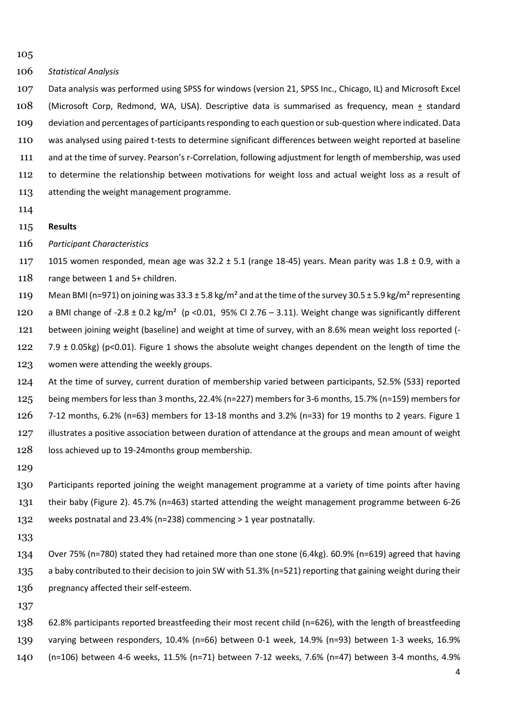*Statistical Analysis*

 Data analysis was performed using SPSS for windows (version 21, SPSS Inc., Chicago, IL) and Microsoft Excel 108 (Microsoft Corp, Redmond, WA, USA). Descriptive data is summarised as frequency, mean  $\pm$  standard deviation and percentages of participants responding to each question or sub-question where indicated. Data was analysed using paired t-tests to determine significant differences between weight reported at baseline and at the time of survey. Pearson's r-Correlation, following adjustment for length of membership, was used to determine the relationship between motivations for weight loss and actual weight loss as a result of attending the weight management programme.

- 
- **Results**
- *Participant Characteristics*

117 1015 women responded, mean age was  $32.2 \pm 5.1$  (range 18-45) years. Mean parity was  $1.8 \pm 0.9$ , with a 118 range between 1 and 5+ children.

119 Mean BMI (n=971) on joining was  $33.3 \pm 5.8$  kg/m<sup>2</sup> and at the time of the survey  $30.5 \pm 5.9$  kg/m<sup>2</sup> representing

120 a BMI change of -2.8  $\pm$  0.2 kg/m<sup>2</sup> (p <0.01, 95% CI 2.76 – 3.11). Weight change was significantly different

- between joining weight (baseline) and weight at time of survey, with an 8.6% mean weight loss reported (-
- 122 7.9  $\pm$  0.05kg) (p<0.01). Figure 1 shows the absolute weight changes dependent on the length of time the women were attending the weekly groups.

 At the time of survey, current duration of membership varied between participants, 52.5% (533) reported being members for less than 3 months, 22.4% (n=227) members for 3-6 months, 15.7% (n=159) members for 7-12 months, 6.2% (n=63) members for 13-18 months and 3.2% (n=33) for 19 months to 2 years. Figure 1 illustrates a positive association between duration of attendance at the groups and mean amount of weight 128 loss achieved up to 19-24months group membership.

 Participants reported joining the weight management programme at a variety of time points after having their baby (Figure 2). 45.7% (n=463) started attending the weight management programme between 6-26 weeks postnatal and 23.4% (n=238) commencing > 1 year postnatally.

 Over 75% (n=780) stated they had retained more than one stone (6.4kg). 60.9% (n=619) agreed that having 135 a baby contributed to their decision to join SW with 51.3% (n=521) reporting that gaining weight during their 136 pregnancy affected their self-esteem.

 62.8% participants reported breastfeeding their most recent child (n=626), with the length of breastfeeding varying between responders, 10.4% (n=66) between 0-1 week, 14.9% (n=93) between 1-3 weeks, 16.9% (n=106) between 4-6 weeks, 11.5% (n=71) between 7-12 weeks, 7.6% (n=47) between 3-4 months, 4.9%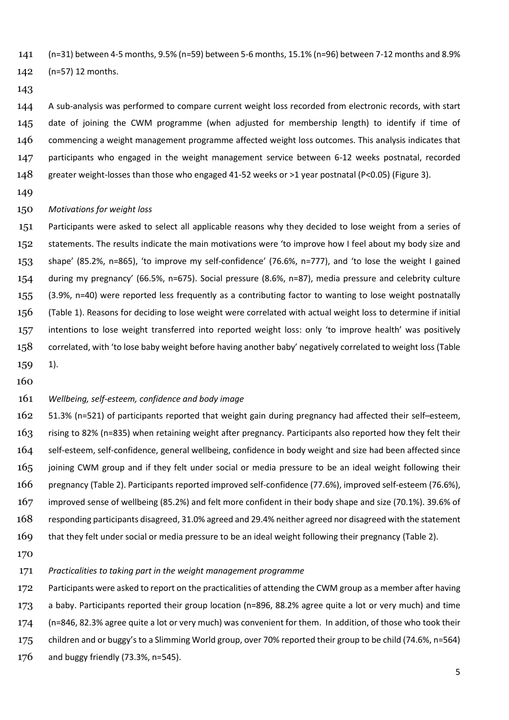(n=31) between 4-5 months, 9.5% (n=59) between 5-6 months, 15.1% (n=96) between 7-12 months and 8.9%

(n=57) 12 months.

## 

 A sub-analysis was performed to compare current weight loss recorded from electronic records, with start date of joining the CWM programme (when adjusted for membership length) to identify if time of 146 commencing a weight management programme affected weight loss outcomes. This analysis indicates that participants who engaged in the weight management service between 6-12 weeks postnatal, recorded greater weight-losses than those who engaged 41-52 weeks or >1 year postnatal (P<0.05) (Figure 3).

#### *Motivations for weight loss*

 Participants were asked to select all applicable reasons why they decided to lose weight from a series of statements. The results indicate the main motivations were 'to improve how I feel about my body size and shape' (85.2%, n=865), 'to improve my self-confidence' (76.6%, n=777), and 'to lose the weight I gained during my pregnancy' (66.5%, n=675). Social pressure (8.6%, n=87), media pressure and celebrity culture (3.9%, n=40) were reported less frequently as a contributing factor to wanting to lose weight postnatally (Table 1). Reasons for deciding to lose weight were correlated with actual weight loss to determine if initial intentions to lose weight transferred into reported weight loss: only 'to improve health' was positively 158 correlated, with 'to lose baby weight before having another baby' negatively correlated to weight loss (Table 1).

# *Wellbeing, self-esteem, confidence and body image*

 51.3% (n=521) of participants reported that weight gain during pregnancy had affected their self–esteem, rising to 82% (n=835) when retaining weight after pregnancy. Participants also reported how they felt their self-esteem, self-confidence, general wellbeing, confidence in body weight and size had been affected since joining CWM group and if they felt under social or media pressure to be an ideal weight following their pregnancy (Table 2). Participants reported improved self-confidence (77.6%), improved self-esteem (76.6%), improved sense of wellbeing (85.2%) and felt more confident in their body shape and size (70.1%). 39.6% of responding participants disagreed, 31.0% agreed and 29.4% neither agreed nor disagreed with the statement that they felt under social or media pressure to be an ideal weight following their pregnancy (Table 2).

#### *Practicalities to taking part in the weight management programme*

172 Participants were asked to report on the practicalities of attending the CWM group as a member after having a baby. Participants reported their group location (n=896, 88.2% agree quite a lot or very much) and time (n=846, 82.3% agree quite a lot or very much) was convenient for them. In addition, of those who took their children and or buggy's to a Slimming World group, over 70% reported their group to be child (74.6%, n=564) and buggy friendly (73.3%, n=545).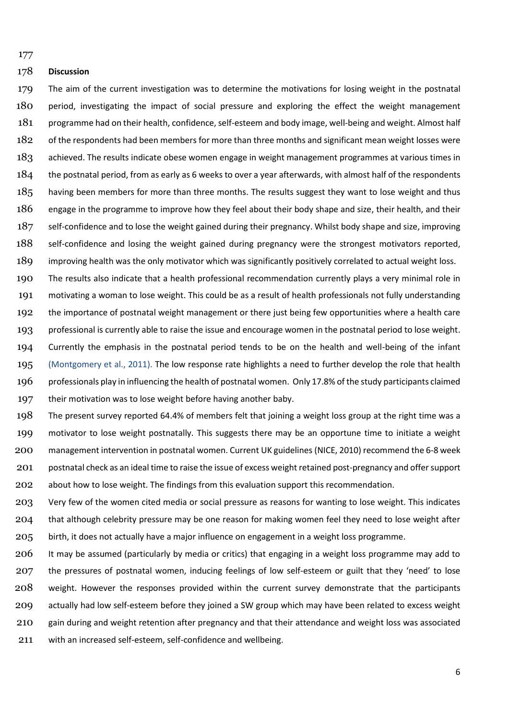### **Discussion**

 The aim of the current investigation was to determine the motivations for losing weight in the postnatal period, investigating the impact of social pressure and exploring the effect the weight management programme had on their health, confidence, self-esteem and body image, well-being and weight. Almost half 182 of the respondents had been members for more than three months and significant mean weight losses were achieved. The results indicate obese women engage in weight management programmes at various times in 184 the postnatal period, from as early as 6 weeks to over a year afterwards, with almost half of the respondents 185 having been members for more than three months. The results suggest they want to lose weight and thus engage in the programme to improve how they feel about their body shape and size, their health, and their self-confidence and to lose the weight gained during their pregnancy. Whilst body shape and size, improving 188 self-confidence and losing the weight gained during pregnancy were the strongest motivators reported, improving health was the only motivator which was significantly positively correlated to actual weight loss.

 The results also indicate that a health professional recommendation currently plays a very minimal role in motivating a woman to lose weight. This could be as a result of health professionals not fully understanding the importance of postnatal weight management or there just being few opportunities where a health care professional is currently able to raise the issue and encourage women in the postnatal period to lose weight. Currently the emphasis in the postnatal period tends to be on the health and well-being of the infant (Montgomery et al., 2011). The low response rate highlights a need to further develop the role that health professionals play in influencing the health of postnatal women. Only 17.8% of the study participants claimed 197 their motivation was to lose weight before having another baby.

 The present survey reported 64.4% of members felt that joining a weight loss group at the right time was a motivator to lose weight postnatally. This suggests there may be an opportune time to initiate a weight management intervention in postnatal women. Current UK guidelines (NICE, 2010) recommend the 6-8 week postnatal check as an ideal time to raise the issue of excess weight retained post-pregnancy and offer support about how to lose weight. The findings from this evaluation support this recommendation.

 Very few of the women cited media or social pressure as reasons for wanting to lose weight. This indicates 204 that although celebrity pressure may be one reason for making women feel they need to lose weight after birth, it does not actually have a major influence on engagement in a weight loss programme.

 It may be assumed (particularly by media or critics) that engaging in a weight loss programme may add to the pressures of postnatal women, inducing feelings of low self-esteem or guilt that they 'need' to lose weight. However the responses provided within the current survey demonstrate that the participants actually had low self-esteem before they joined a SW group which may have been related to excess weight gain during and weight retention after pregnancy and that their attendance and weight loss was associated with an increased self-esteem, self-confidence and wellbeing.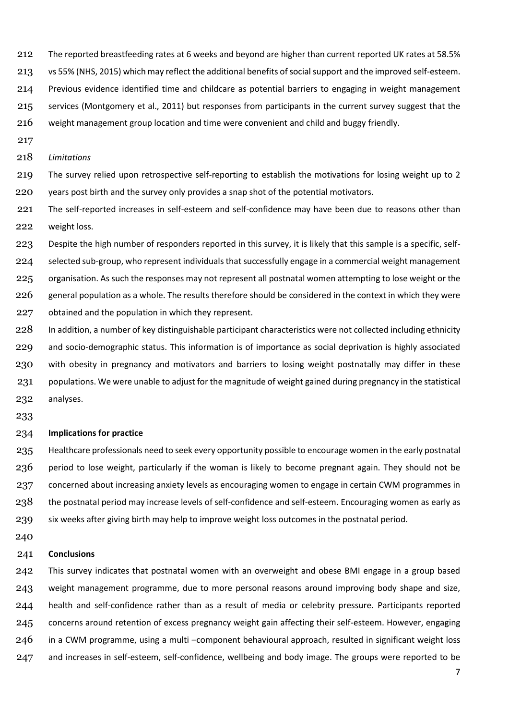- The reported breastfeeding rates at 6 weeks and beyond are higher than current reported UK rates at 58.5%
- vs 55% (NHS, 2015) which may reflect the additional benefits of social support and the improved self-esteem.
- Previous evidence identified time and childcare as potential barriers to engaging in weight management
- services (Montgomery et al., 2011) but responses from participants in the current survey suggest that the
- weight management group location and time were convenient and child and buggy friendly.
- 
- *Limitations*
- The survey relied upon retrospective self-reporting to establish the motivations for losing weight up to 2 years post birth and the survey only provides a snap shot of the potential motivators.
- The self-reported increases in self-esteem and self-confidence may have been due to reasons other than weight loss.
- Despite the high number of responders reported in this survey, it is likely that this sample is a specific, self- selected sub-group, who represent individuals that successfully engage in a commercial weight management 225 organisation. As such the responses may not represent all postnatal women attempting to lose weight or the 226 general population as a whole. The results therefore should be considered in the context in which they were obtained and the population in which they represent.
- In addition, a number of key distinguishable participant characteristics were not collected including ethnicity and socio-demographic status. This information is of importance as social deprivation is highly associated 230 with obesity in pregnancy and motivators and barriers to losing weight postnatally may differ in these populations. We were unable to adjust for the magnitude of weight gained during pregnancy in the statistical analyses.
- 

#### **Implications for practice**

 Healthcare professionals need to seek every opportunity possible to encourage women in the early postnatal period to lose weight, particularly if the woman is likely to become pregnant again. They should not be 237 concerned about increasing anxiety levels as encouraging women to engage in certain CWM programmes in the postnatal period may increase levels of self-confidence and self-esteem. Encouraging women as early as six weeks after giving birth may help to improve weight loss outcomes in the postnatal period.

#### **Conclusions**

 This survey indicates that postnatal women with an overweight and obese BMI engage in a group based weight management programme, due to more personal reasons around improving body shape and size, health and self-confidence rather than as a result of media or celebrity pressure. Participants reported concerns around retention of excess pregnancy weight gain affecting their self-esteem. However, engaging 246 in a CWM programme, using a multi –component behavioural approach, resulted in significant weight loss and increases in self-esteem, self-confidence, wellbeing and body image. The groups were reported to be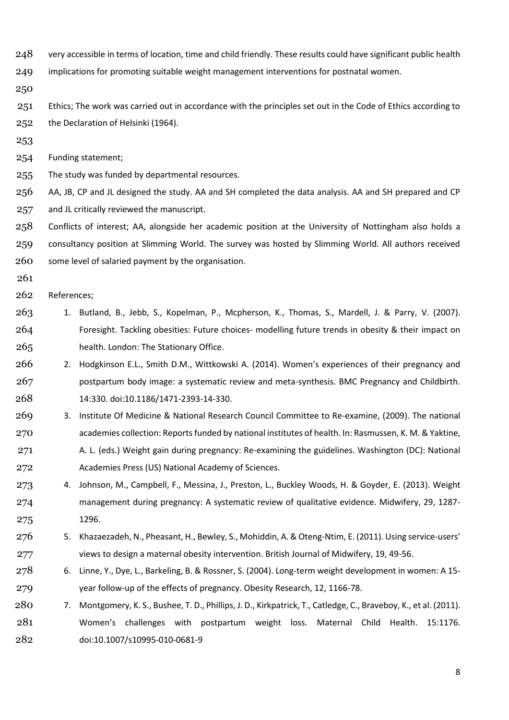- 248 very accessible in terms of location, time and child friendly. These results could have significant public health
- implications for promoting suitable weight management interventions for postnatal women.
- 

251 Ethics; The work was carried out in accordance with the principles set out in the Code of Ethics according to the Declaration of Helsinki (1964).

Funding statement;

The study was funded by departmental resources.

 AA, JB, CP and JL designed the study. AA and SH completed the data analysis. AA and SH prepared and CP and JL critically reviewed the manuscript.

 Conflicts of interest; AA, alongside her academic position at the University of Nottingham also holds a consultancy position at Slimming World. The survey was hosted by Slimming World. All authors received some level of salaried payment by the organisation.

- 
- References;
- 1. Butland, B., Jebb, S., Kopelman, P., Mcpherson, K., Thomas, S., Mardell, J. & Parry, V. (2007). Foresight. Tackling obesities: Future choices- modelling future trends in obesity & their impact on health. London: The Stationary Office.
- 266 2. Hodgkinson E.L., Smith D.M., Wittkowski A. (2014). Women's experiences of their pregnancy and postpartum body image: a systematic review and meta-synthesis. BMC Pregnancy and Childbirth. 14:330. doi:10.1186/1471-2393-14-330.
- 3. Institute Of Medicine & National Research Council Committee to Re-examine, (2009). The national academies collection: Reports funded by national institutes of health. In: Rasmussen, K. M. & Yaktine,
- 271 A. L. (eds.) Weight gain during pregnancy: Re-examining the guidelines. Washington (DC): National Academies Press (US) National Academy of Sciences.
- 4. Johnson, M., Campbell, F., Messina, J., Preston, L., Buckley Woods, H. & Goyder, E. (2013). Weight management during pregnancy: A systematic review of qualitative evidence. Midwifery, 29, 1287- 1296.
- 5. Khazaezadeh, N., Pheasant, H., Bewley, S., Mohiddin, A. & Oteng-Ntim, E. (2011). Using service-users' views to design a maternal obesity intervention. British Journal of Midwifery, 19, 49-56.
- 6. Linne, Y., Dye, L., Barkeling, B. & Rossner, S. (2004). Long-term weight development in women: A 15- year follow-up of the effects of pregnancy. Obesity Research, 12, 1166-78.
- 7. Montgomery, K. S., Bushee, T. D., Phillips, J. D., Kirkpatrick, T., Catledge, C., Braveboy, K., et al. (2011). Women's challenges with postpartum weight loss. Maternal Child Health. 15:1176. doi:10.1007/s10995-010-0681-9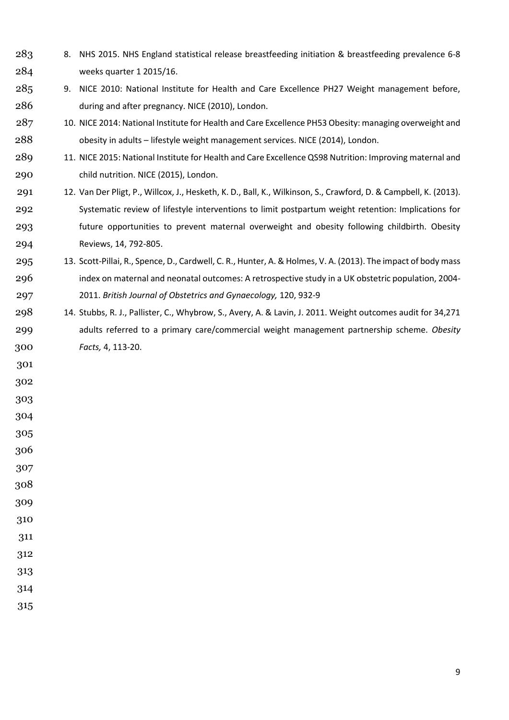- 8. NHS 2015. NHS England statistical release breastfeeding initiation & breastfeeding prevalence 6-8 weeks quarter 1 2015/16.
- 9. NICE 2010: National Institute for Health and Care Excellence PH27 Weight management before, during and after pregnancy. NICE (2010), London.
- 287 10. NICE 2014: National Institute for Health and Care Excellence PH53 Obesity: managing overweight and obesity in adults – lifestyle weight management services. NICE (2014), London.
- 11. NICE 2015: National Institute for Health and Care Excellence QS98 Nutrition: Improving maternal and child nutrition. NICE (2015), London.
- 12. Van Der Pligt, P., Willcox, J., Hesketh, K. D., Ball, K., Wilkinson, S., Crawford, D. & Campbell, K. (2013). Systematic review of lifestyle interventions to limit postpartum weight retention: Implications for future opportunities to prevent maternal overweight and obesity following childbirth. Obesity Reviews, 14, 792-805.
- 13. Scott-Pillai, R., Spence, D., Cardwell, C. R., Hunter, A. & Holmes, V. A. (2013). The impact of body mass index on maternal and neonatal outcomes: A retrospective study in a UK obstetric population, 2004- 2011. *British Journal of Obstetrics and Gynaecology,* 120, 932-9
- 14. Stubbs, R. J., Pallister, C., Whybrow, S., Avery, A. & Lavin, J. 2011. Weight outcomes audit for 34,271 adults referred to a primary care/commercial weight management partnership scheme. *Obesity Facts,* 4, 113-20.
- 
- 
- 
- 
- 

- 
- 
- 
- 
-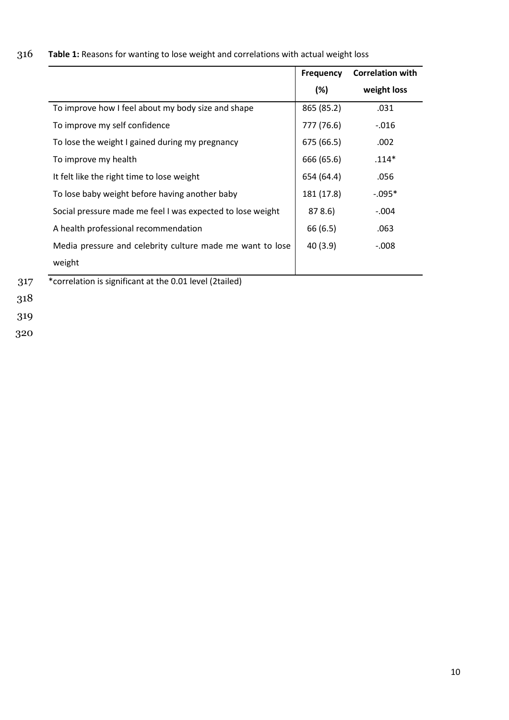| 316 |  |  | <b>Table 1:</b> Reasons for wanting to lose weight and correlations with actual weight loss |
|-----|--|--|---------------------------------------------------------------------------------------------|
|-----|--|--|---------------------------------------------------------------------------------------------|

|                                                            | <b>Frequency</b> | <b>Correlation with</b> |  |
|------------------------------------------------------------|------------------|-------------------------|--|
|                                                            | (%)              | weight loss             |  |
| To improve how I feel about my body size and shape         | 865 (85.2)       | .031                    |  |
| To improve my self confidence                              | 777 (76.6)       | $-0.016$                |  |
| To lose the weight I gained during my pregnancy            | 675 (66.5)       | .002                    |  |
| To improve my health                                       | 666 (65.6)       | $.114*$                 |  |
| It felt like the right time to lose weight                 | 654 (64.4)       | .056                    |  |
| To lose baby weight before having another baby             | 181 (17.8)       | $-.095*$                |  |
| Social pressure made me feel I was expected to lose weight | 878.6            | $-.004$                 |  |
| A health professional recommendation                       | 66 (6.5)         | .063                    |  |
| Media pressure and celebrity culture made me want to lose  | 40(3.9)          | $-.008$                 |  |
| weight                                                     |                  |                         |  |

319

320